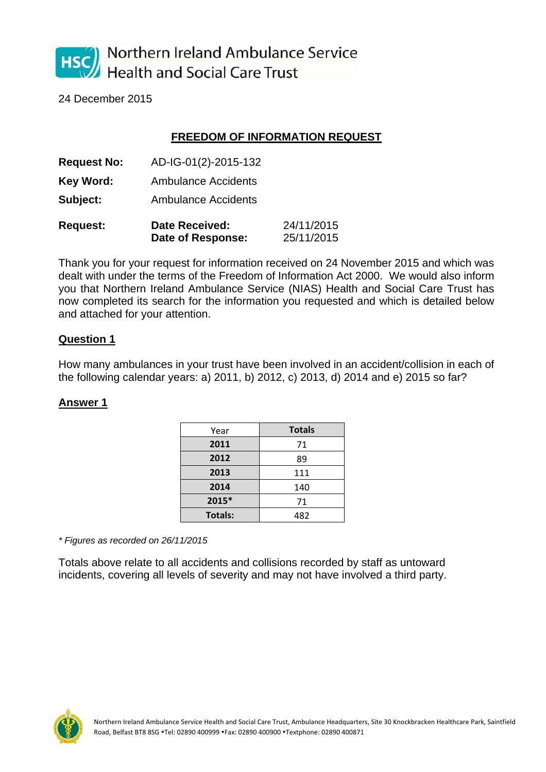

24 December 2015

# **FREEDOM OF INFORMATION REQUEST**

| <b>Request No:</b> | AD-IG-01(2)-2015-132                |                          |  |
|--------------------|-------------------------------------|--------------------------|--|
| Key Word:          | <b>Ambulance Accidents</b>          |                          |  |
| Subject:           | <b>Ambulance Accidents</b>          |                          |  |
| <b>Request:</b>    | Date Received:<br>Date of Response: | 24/11/2015<br>25/11/2015 |  |

Thank you for your request for information received on 24 November 2015 and which was dealt with under the terms of the Freedom of Information Act 2000. We would also inform you that Northern Ireland Ambulance Service (NIAS) Health and Social Care Trust has now completed its search for the information you requested and which is detailed below and attached for your attention.

### **Question 1**

How many ambulances in your trust have been involved in an accident/collision in each of the following calendar years: a) 2011, b) 2012, c) 2013, d) 2014 and e) 2015 so far?

#### **Answer 1**

| Year           | <b>Totals</b> |
|----------------|---------------|
| 2011           | 71            |
| 2012           | 89            |
| 2013           | 111           |
| 2014           | 140           |
| 2015*          | 71            |
| <b>Totals:</b> | 482           |

*\* Figures as recorded on 26/11/2015* 

Totals above relate to all accidents and collisions recorded by staff as untoward incidents, covering all levels of severity and may not have involved a third party.

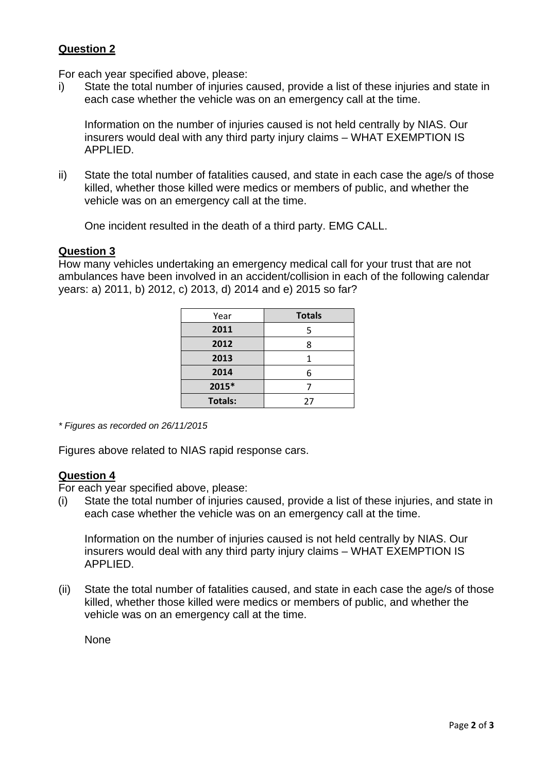# **Question 2**

For each year specified above, please:

i) State the total number of injuries caused, provide a list of these injuries and state in each case whether the vehicle was on an emergency call at the time.

Information on the number of injuries caused is not held centrally by NIAS. Our insurers would deal with any third party injury claims – WHAT EXEMPTION IS APPLIED.

ii) State the total number of fatalities caused, and state in each case the age/s of those killed, whether those killed were medics or members of public, and whether the vehicle was on an emergency call at the time.

One incident resulted in the death of a third party. EMG CALL.

### **Question 3**

How many vehicles undertaking an emergency medical call for your trust that are not ambulances have been involved in an accident/collision in each of the following calendar years: a) 2011, b) 2012, c) 2013, d) 2014 and e) 2015 so far?

| Year           | <b>Totals</b> |
|----------------|---------------|
| 2011           |               |
| 2012           | 8             |
| 2013           |               |
| 2014           |               |
| 2015*          |               |
| <b>Totals:</b> | 27            |

*\* Figures as recorded on 26/11/2015* 

Figures above related to NIAS rapid response cars.

### **Question 4**

For each year specified above, please:

(i) State the total number of injuries caused, provide a list of these injuries, and state in each case whether the vehicle was on an emergency call at the time.

Information on the number of injuries caused is not held centrally by NIAS. Our insurers would deal with any third party injury claims – WHAT EXEMPTION IS APPLIED.

(ii) State the total number of fatalities caused, and state in each case the age/s of those killed, whether those killed were medics or members of public, and whether the vehicle was on an emergency call at the time.

None